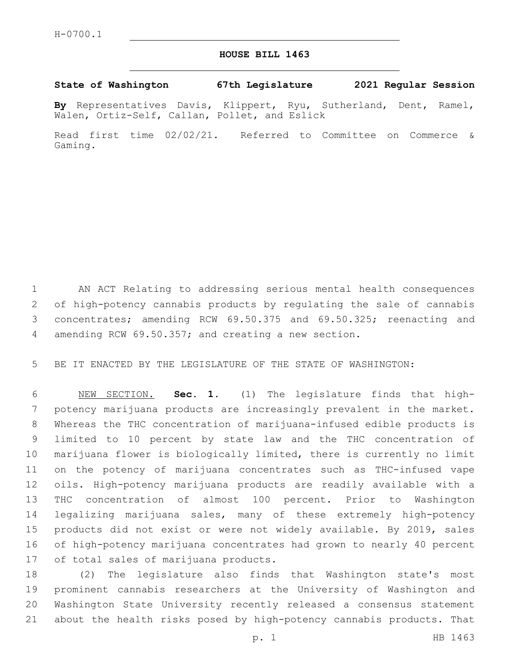## **HOUSE BILL 1463**

## **State of Washington 67th Legislature 2021 Regular Session**

**By** Representatives Davis, Klippert, Ryu, Sutherland, Dent, Ramel, Walen, Ortiz-Self, Callan, Pollet, and Eslick

Read first time 02/02/21. Referred to Committee on Commerce & Gaming.

 AN ACT Relating to addressing serious mental health consequences of high-potency cannabis products by regulating the sale of cannabis concentrates; amending RCW 69.50.375 and 69.50.325; reenacting and amending RCW 69.50.357; and creating a new section.

BE IT ENACTED BY THE LEGISLATURE OF THE STATE OF WASHINGTON:

 NEW SECTION. **Sec. 1.** (1) The legislature finds that high- potency marijuana products are increasingly prevalent in the market. Whereas the THC concentration of marijuana-infused edible products is limited to 10 percent by state law and the THC concentration of marijuana flower is biologically limited, there is currently no limit on the potency of marijuana concentrates such as THC-infused vape oils. High-potency marijuana products are readily available with a THC concentration of almost 100 percent. Prior to Washington legalizing marijuana sales, many of these extremely high-potency products did not exist or were not widely available. By 2019, sales of high-potency marijuana concentrates had grown to nearly 40 percent of total sales of marijuana products.

 (2) The legislature also finds that Washington state's most prominent cannabis researchers at the University of Washington and Washington State University recently released a consensus statement about the health risks posed by high-potency cannabis products. That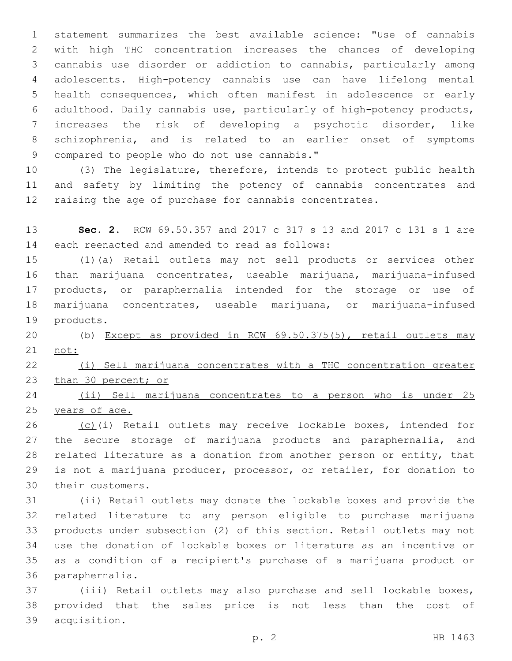statement summarizes the best available science: "Use of cannabis with high THC concentration increases the chances of developing cannabis use disorder or addiction to cannabis, particularly among adolescents. High-potency cannabis use can have lifelong mental health consequences, which often manifest in adolescence or early adulthood. Daily cannabis use, particularly of high-potency products, increases the risk of developing a psychotic disorder, like schizophrenia, and is related to an earlier onset of symptoms 9 compared to people who do not use cannabis."

 (3) The legislature, therefore, intends to protect public health and safety by limiting the potency of cannabis concentrates and raising the age of purchase for cannabis concentrates.

 **Sec. 2.** RCW 69.50.357 and 2017 c 317 s 13 and 2017 c 131 s 1 are 14 each reenacted and amended to read as follows:

 (1)(a) Retail outlets may not sell products or services other than marijuana concentrates, useable marijuana, marijuana-infused products, or paraphernalia intended for the storage or use of marijuana concentrates, useable marijuana, or marijuana-infused 19 products.

 (b) Except as provided in RCW 69.50.375(5), retail outlets may not:

 (i) Sell marijuana concentrates with a THC concentration greater 23 than 30 percent; or

 (ii) Sell marijuana concentrates to a person who is under 25 years of age.

 (c)(i) Retail outlets may receive lockable boxes, intended for 27 the secure storage of marijuana products and paraphernalia, and related literature as a donation from another person or entity, that is not a marijuana producer, processor, or retailer, for donation to 30 their customers.

 (ii) Retail outlets may donate the lockable boxes and provide the related literature to any person eligible to purchase marijuana products under subsection (2) of this section. Retail outlets may not use the donation of lockable boxes or literature as an incentive or as a condition of a recipient's purchase of a marijuana product or 36 paraphernalia.

 (iii) Retail outlets may also purchase and sell lockable boxes, provided that the sales price is not less than the cost of 39 acquisition.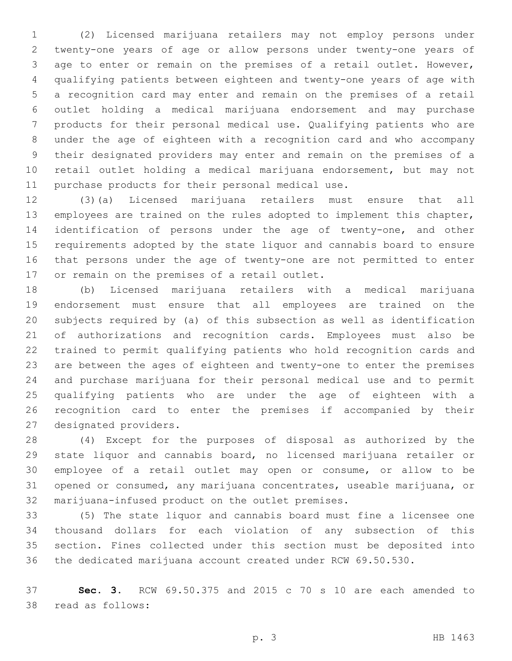(2) Licensed marijuana retailers may not employ persons under twenty-one years of age or allow persons under twenty-one years of age to enter or remain on the premises of a retail outlet. However, qualifying patients between eighteen and twenty-one years of age with a recognition card may enter and remain on the premises of a retail outlet holding a medical marijuana endorsement and may purchase products for their personal medical use. Qualifying patients who are under the age of eighteen with a recognition card and who accompany their designated providers may enter and remain on the premises of a retail outlet holding a medical marijuana endorsement, but may not 11 purchase products for their personal medical use.

 (3)(a) Licensed marijuana retailers must ensure that all employees are trained on the rules adopted to implement this chapter, identification of persons under the age of twenty-one, and other requirements adopted by the state liquor and cannabis board to ensure that persons under the age of twenty-one are not permitted to enter 17 or remain on the premises of a retail outlet.

 (b) Licensed marijuana retailers with a medical marijuana endorsement must ensure that all employees are trained on the subjects required by (a) of this subsection as well as identification of authorizations and recognition cards. Employees must also be trained to permit qualifying patients who hold recognition cards and are between the ages of eighteen and twenty-one to enter the premises and purchase marijuana for their personal medical use and to permit qualifying patients who are under the age of eighteen with a recognition card to enter the premises if accompanied by their 27 designated providers.

 (4) Except for the purposes of disposal as authorized by the state liquor and cannabis board, no licensed marijuana retailer or employee of a retail outlet may open or consume, or allow to be opened or consumed, any marijuana concentrates, useable marijuana, or 32 marijuana-infused product on the outlet premises.

 (5) The state liquor and cannabis board must fine a licensee one thousand dollars for each violation of any subsection of this section. Fines collected under this section must be deposited into the dedicated marijuana account created under RCW 69.50.530.

 **Sec. 3.** RCW 69.50.375 and 2015 c 70 s 10 are each amended to 38 read as follows: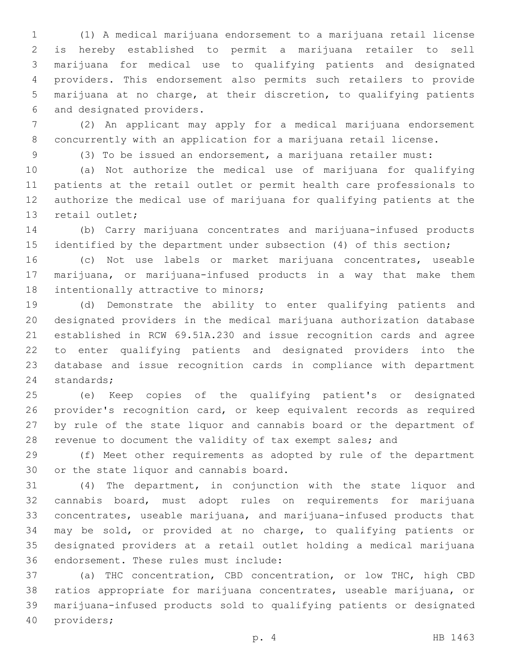(1) A medical marijuana endorsement to a marijuana retail license is hereby established to permit a marijuana retailer to sell marijuana for medical use to qualifying patients and designated providers. This endorsement also permits such retailers to provide marijuana at no charge, at their discretion, to qualifying patients 6 and designated providers.

 (2) An applicant may apply for a medical marijuana endorsement concurrently with an application for a marijuana retail license.

(3) To be issued an endorsement, a marijuana retailer must:

 (a) Not authorize the medical use of marijuana for qualifying patients at the retail outlet or permit health care professionals to authorize the medical use of marijuana for qualifying patients at the 13 retail outlet;

 (b) Carry marijuana concentrates and marijuana-infused products identified by the department under subsection (4) of this section;

 (c) Not use labels or market marijuana concentrates, useable marijuana, or marijuana-infused products in a way that make them 18 intentionally attractive to minors;

 (d) Demonstrate the ability to enter qualifying patients and designated providers in the medical marijuana authorization database established in RCW 69.51A.230 and issue recognition cards and agree to enter qualifying patients and designated providers into the database and issue recognition cards in compliance with department 24 standards;

 (e) Keep copies of the qualifying patient's or designated provider's recognition card, or keep equivalent records as required by rule of the state liquor and cannabis board or the department of revenue to document the validity of tax exempt sales; and

 (f) Meet other requirements as adopted by rule of the department 30 or the state liquor and cannabis board.

 (4) The department, in conjunction with the state liquor and cannabis board, must adopt rules on requirements for marijuana concentrates, useable marijuana, and marijuana-infused products that may be sold, or provided at no charge, to qualifying patients or designated providers at a retail outlet holding a medical marijuana 36 endorsement. These rules must include:

 (a) THC concentration, CBD concentration, or low THC, high CBD ratios appropriate for marijuana concentrates, useable marijuana, or marijuana-infused products sold to qualifying patients or designated 40 providers;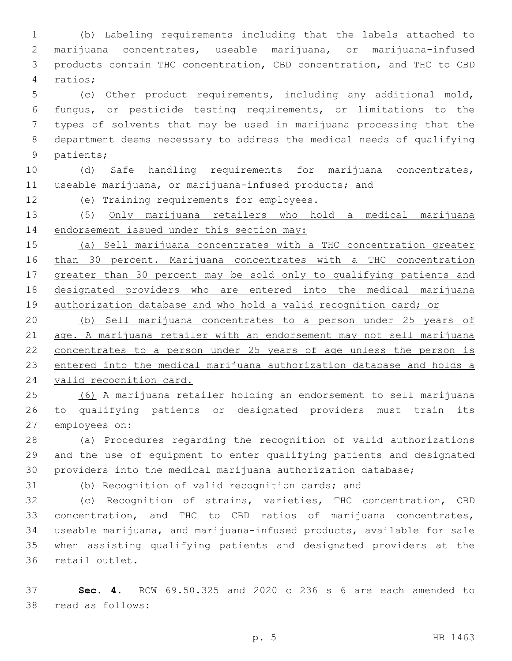(b) Labeling requirements including that the labels attached to marijuana concentrates, useable marijuana, or marijuana-infused products contain THC concentration, CBD concentration, and THC to CBD ratios;4

 (c) Other product requirements, including any additional mold, fungus, or pesticide testing requirements, or limitations to the types of solvents that may be used in marijuana processing that the department deems necessary to address the medical needs of qualifying 9 patients;

 (d) Safe handling requirements for marijuana concentrates, useable marijuana, or marijuana-infused products; and

12 (e) Training requirements for employees.

 (5) Only marijuana retailers who hold a medical marijuana 14 endorsement issued under this section may:

 (a) Sell marijuana concentrates with a THC concentration greater than 30 percent. Marijuana concentrates with a THC concentration greater than 30 percent may be sold only to qualifying patients and designated providers who are entered into the medical marijuana 19 authorization database and who hold a valid recognition card; or

 (b) Sell marijuana concentrates to a person under 25 years of age. A marijuana retailer with an endorsement may not sell marijuana 22 concentrates to a person under 25 years of age unless the person is entered into the medical marijuana authorization database and holds a valid recognition card.

 (6) A marijuana retailer holding an endorsement to sell marijuana to qualifying patients or designated providers must train its 27 employees on:

 (a) Procedures regarding the recognition of valid authorizations and the use of equipment to enter qualifying patients and designated providers into the medical marijuana authorization database;

(b) Recognition of valid recognition cards; and

 (c) Recognition of strains, varieties, THC concentration, CBD concentration, and THC to CBD ratios of marijuana concentrates, useable marijuana, and marijuana-infused products, available for sale when assisting qualifying patients and designated providers at the 36 retail outlet.

 **Sec. 4.** RCW 69.50.325 and 2020 c 236 s 6 are each amended to 38 read as follows: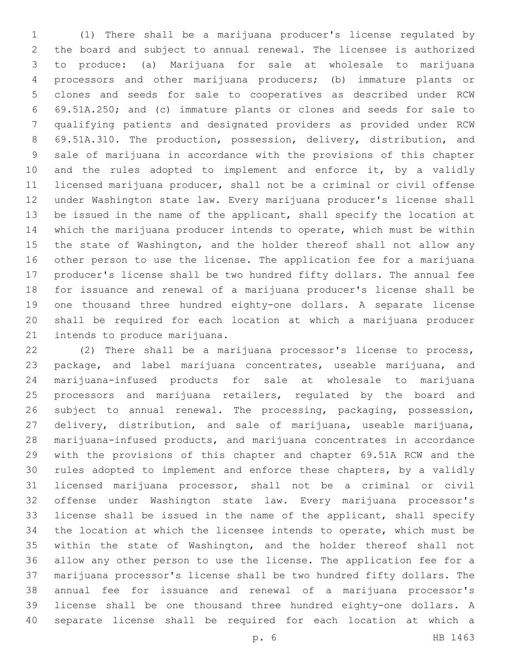(1) There shall be a marijuana producer's license regulated by the board and subject to annual renewal. The licensee is authorized to produce: (a) Marijuana for sale at wholesale to marijuana processors and other marijuana producers; (b) immature plants or clones and seeds for sale to cooperatives as described under RCW 69.51A.250; and (c) immature plants or clones and seeds for sale to qualifying patients and designated providers as provided under RCW 69.51A.310. The production, possession, delivery, distribution, and sale of marijuana in accordance with the provisions of this chapter 10 and the rules adopted to implement and enforce it, by a validly licensed marijuana producer, shall not be a criminal or civil offense under Washington state law. Every marijuana producer's license shall be issued in the name of the applicant, shall specify the location at which the marijuana producer intends to operate, which must be within 15 the state of Washington, and the holder thereof shall not allow any other person to use the license. The application fee for a marijuana producer's license shall be two hundred fifty dollars. The annual fee for issuance and renewal of a marijuana producer's license shall be one thousand three hundred eighty-one dollars. A separate license shall be required for each location at which a marijuana producer 21 intends to produce marijuana.

 (2) There shall be a marijuana processor's license to process, package, and label marijuana concentrates, useable marijuana, and marijuana-infused products for sale at wholesale to marijuana 25 processors and marijuana retailers, regulated by the board and subject to annual renewal. The processing, packaging, possession, delivery, distribution, and sale of marijuana, useable marijuana, marijuana-infused products, and marijuana concentrates in accordance with the provisions of this chapter and chapter 69.51A RCW and the rules adopted to implement and enforce these chapters, by a validly licensed marijuana processor, shall not be a criminal or civil offense under Washington state law. Every marijuana processor's license shall be issued in the name of the applicant, shall specify the location at which the licensee intends to operate, which must be within the state of Washington, and the holder thereof shall not allow any other person to use the license. The application fee for a marijuana processor's license shall be two hundred fifty dollars. The annual fee for issuance and renewal of a marijuana processor's license shall be one thousand three hundred eighty-one dollars. A separate license shall be required for each location at which a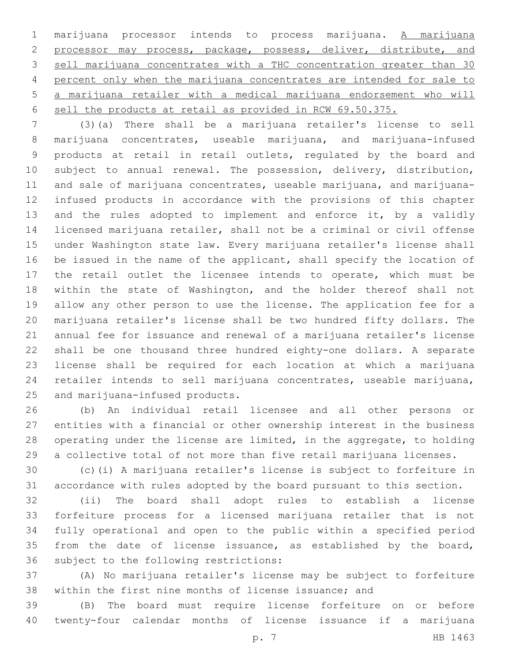marijuana processor intends to process marijuana. A marijuana 2 processor may process, package, possess, deliver, distribute, and sell marijuana concentrates with a THC concentration greater than 30 percent only when the marijuana concentrates are intended for sale to a marijuana retailer with a medical marijuana endorsement who will sell the products at retail as provided in RCW 69.50.375.

 (3)(a) There shall be a marijuana retailer's license to sell marijuana concentrates, useable marijuana, and marijuana-infused products at retail in retail outlets, regulated by the board and subject to annual renewal. The possession, delivery, distribution, and sale of marijuana concentrates, useable marijuana, and marijuana- infused products in accordance with the provisions of this chapter 13 and the rules adopted to implement and enforce it, by a validly licensed marijuana retailer, shall not be a criminal or civil offense under Washington state law. Every marijuana retailer's license shall be issued in the name of the applicant, shall specify the location of the retail outlet the licensee intends to operate, which must be within the state of Washington, and the holder thereof shall not allow any other person to use the license. The application fee for a marijuana retailer's license shall be two hundred fifty dollars. The annual fee for issuance and renewal of a marijuana retailer's license shall be one thousand three hundred eighty-one dollars. A separate license shall be required for each location at which a marijuana retailer intends to sell marijuana concentrates, useable marijuana, 25 and marijuana-infused products.

 (b) An individual retail licensee and all other persons or entities with a financial or other ownership interest in the business operating under the license are limited, in the aggregate, to holding a collective total of not more than five retail marijuana licenses.

 (c)(i) A marijuana retailer's license is subject to forfeiture in accordance with rules adopted by the board pursuant to this section.

 (ii) The board shall adopt rules to establish a license forfeiture process for a licensed marijuana retailer that is not fully operational and open to the public within a specified period from the date of license issuance, as established by the board, 36 subject to the following restrictions:

 (A) No marijuana retailer's license may be subject to forfeiture within the first nine months of license issuance; and

 (B) The board must require license forfeiture on or before twenty-four calendar months of license issuance if a marijuana

p. 7 HB 1463